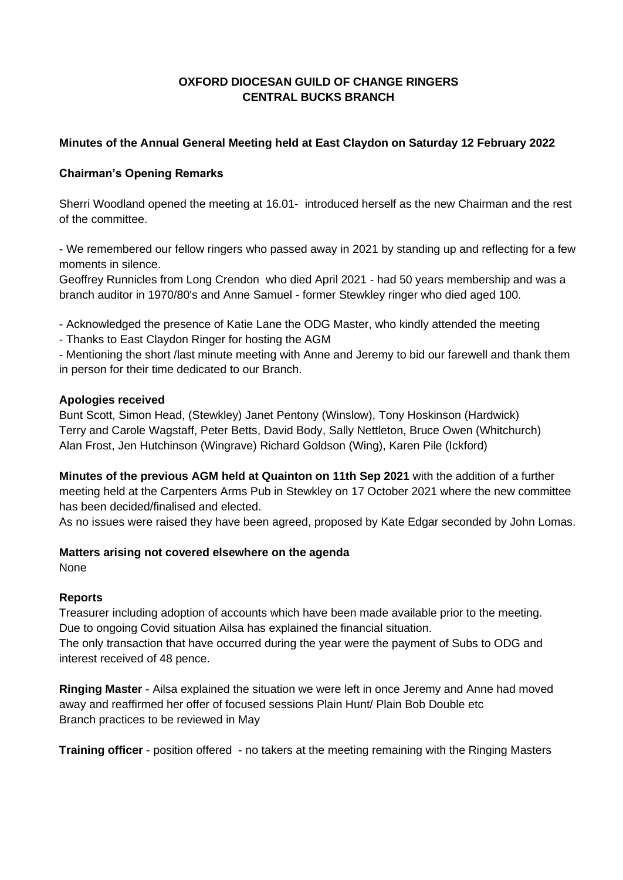# **OXFORD DIOCESAN GUILD OF CHANGE RINGERS CENTRAL BUCKS BRANCH**

# **Minutes of the Annual General Meeting held at East Claydon on Saturday 12 February 2022**

### **Chairman's Opening Remarks**

Sherri Woodland opened the meeting at 16.01- introduced herself as the new Chairman and the rest of the committee.

- We remembered our fellow ringers who passed away in 2021 by standing up and reflecting for a few moments in silence.

Geoffrey Runnicles from Long Crendon who died April 2021 - had 50 years membership and was a branch auditor in 1970/80's and Anne Samuel - former Stewkley ringer who died aged 100.

- Acknowledged the presence of Katie Lane the ODG Master, who kindly attended the meeting
- Thanks to East Claydon Ringer for hosting the AGM

- Mentioning the short /last minute meeting with Anne and Jeremy to bid our farewell and thank them in person for their time dedicated to our Branch.

### **Apologies received**

Bunt Scott, Simon Head, (Stewkley) Janet Pentony (Winslow), Tony Hoskinson (Hardwick) Terry and Carole Wagstaff, Peter Betts, David Body, Sally Nettleton, Bruce Owen (Whitchurch) Alan Frost, Jen Hutchinson (Wingrave) Richard Goldson (Wing), Karen Pile (Ickford)

**Minutes of the previous AGM held at Quainton on 11th Sep 2021** with the addition of a further meeting held at the Carpenters Arms Pub in Stewkley on 17 October 2021 where the new committee has been decided/finalised and elected.

As no issues were raised they have been agreed, proposed by Kate Edgar seconded by John Lomas.

### **Matters arising not covered elsewhere on the agenda**

None

### **Reports**

Treasurer including adoption of accounts which have been made available prior to the meeting. Due to ongoing Covid situation Ailsa has explained the financial situation. The only transaction that have occurred during the year were the payment of Subs to ODG and interest received of 48 pence.

**Ringing Master** - Ailsa explained the situation we were left in once Jeremy and Anne had moved away and reaffirmed her offer of focused sessions Plain Hunt/ Plain Bob Double etc Branch practices to be reviewed in May

**Training officer** - position offered - no takers at the meeting remaining with the Ringing Masters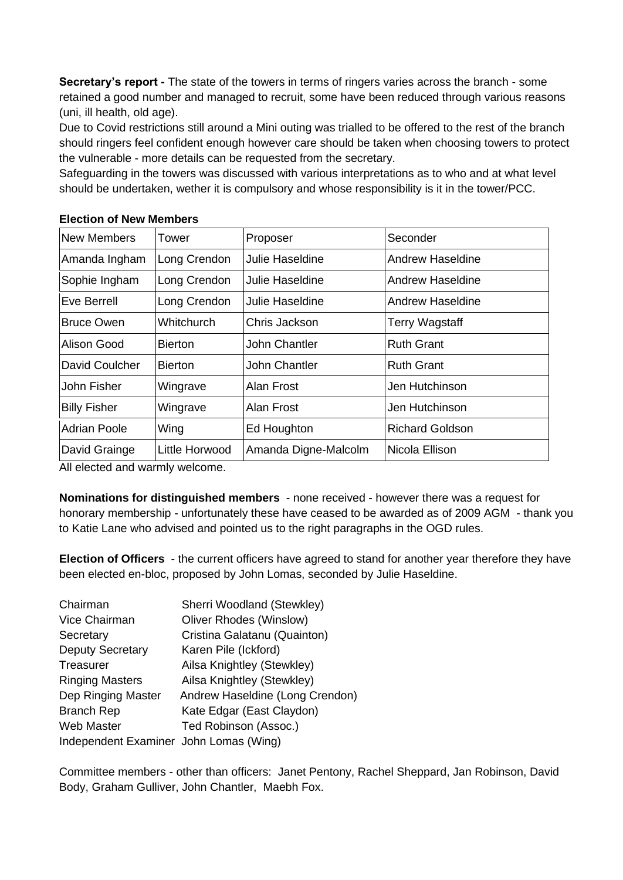**Secretary's report -** The state of the towers in terms of ringers varies across the branch - some retained a good number and managed to recruit, some have been reduced through various reasons (uni, ill health, old age).

Due to Covid restrictions still around a Mini outing was trialled to be offered to the rest of the branch should ringers feel confident enough however care should be taken when choosing towers to protect the vulnerable - more details can be requested from the secretary.

Safeguarding in the towers was discussed with various interpretations as to who and at what level should be undertaken, wether it is compulsory and whose responsibility is it in the tower/PCC.

| <b>New Members</b>  | Tower          | Proposer             | Seconder                |
|---------------------|----------------|----------------------|-------------------------|
| Amanda Ingham       | Long Crendon   | Julie Haseldine      | <b>Andrew Haseldine</b> |
| Sophie Ingham       | Long Crendon   | Julie Haseldine      | Andrew Haseldine        |
| Eve Berrell         | Long Crendon   | Julie Haseldine      | Andrew Haseldine        |
| <b>Bruce Owen</b>   | Whitchurch     | Chris Jackson        | <b>Terry Wagstaff</b>   |
| Alison Good         | <b>Bierton</b> | John Chantler        | <b>Ruth Grant</b>       |
| David Coulcher      | <b>Bierton</b> | John Chantler        | <b>Ruth Grant</b>       |
| John Fisher         | Wingrave       | Alan Frost           | Jen Hutchinson          |
| <b>Billy Fisher</b> | Wingrave       | Alan Frost           | Jen Hutchinson          |
| <b>Adrian Poole</b> | Wing           | Ed Houghton          | <b>Richard Goldson</b>  |
| David Grainge       | Little Horwood | Amanda Digne-Malcolm | Nicola Ellison          |

### **Election of New Members**

All elected and warmly welcome.

**Nominations for distinguished members** - none received - however there was a request for honorary membership - unfortunately these have ceased to be awarded as of 2009 AGM - thank you to Katie Lane who advised and pointed us to the right paragraphs in the OGD rules.

**Election of Officers** - the current officers have agreed to stand for another year therefore they have been elected en-bloc, proposed by John Lomas, seconded by Julie Haseldine.

| Chairman                               | Sherri Woodland (Stewkley)      |
|----------------------------------------|---------------------------------|
| Vice Chairman                          | <b>Oliver Rhodes (Winslow)</b>  |
| Secretary                              | Cristina Galatanu (Quainton)    |
| <b>Deputy Secretary</b>                | Karen Pile (Ickford)            |
| Treasurer                              | Ailsa Knightley (Stewkley)      |
| <b>Ringing Masters</b>                 | Ailsa Knightley (Stewkley)      |
| Dep Ringing Master                     | Andrew Haseldine (Long Crendon) |
| <b>Branch Rep</b>                      | Kate Edgar (East Claydon)       |
| <b>Web Master</b>                      | Ted Robinson (Assoc.)           |
| Independent Examiner John Lomas (Wing) |                                 |

Committee members - other than officers: Janet Pentony, Rachel Sheppard, Jan Robinson, David Body, Graham Gulliver, John Chantler, Maebh Fox.